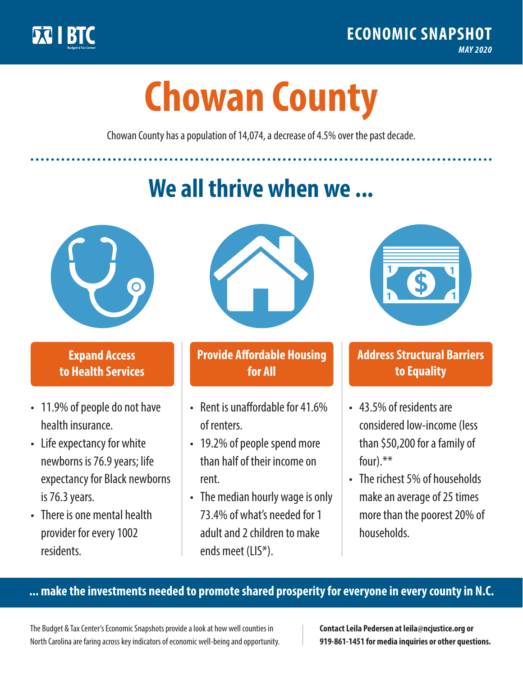

**1**

# **Chowan County**

Chowan County has a population of 14,074, a decrease of 4.5% over the past decade.

# **We all thrive when we ...**



**\$ <sup>1</sup>**

**\$ <sup>1</sup>**

### **Expand Access to Health Services**

- 11.9% of people do not have health insurance.
- Life expectancy for white newborns is 76.9 years; life expectancy for Black newborns is 76.3 years.
- There is one mental health provider for every 1002 residents.



## **Provide Affordable Housing for All**

- Rent is unaffordable for 41.6% of renters.
- 19.2% of people spend more than half of their income on rent.
- The median hourly wage is only 73.4% of what's needed for 1 adult and 2 children to make ends meet (LIS\*).



### **Address Structural Barriers to Equality**

- 43.5% of residents are considered low-income (less than \$50,200 for a family of four).\*\*
- The richest 5% of households make an average of 25 times more than the poorest 20% of households.

#### **... make the investments needed to promote shared prosperity for everyone in every county in N.C.**

The Budget & Tax Center's Economic Snapshots provide a look at how well counties in North Carolina are faring across key indicators of economic well-being and opportunity.